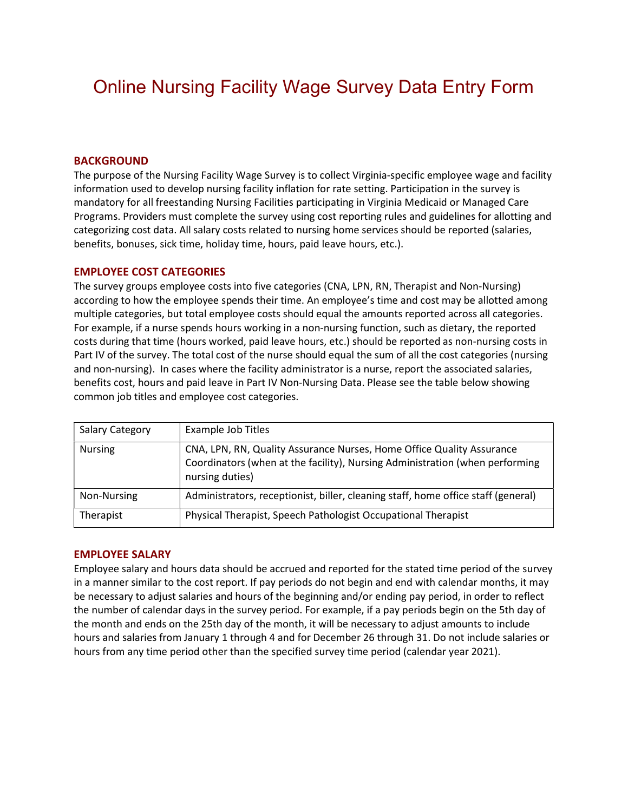# Online Nursing Facility Wage Survey Data Entry Form

### BACKGROUND

The purpose of the Nursing Facility Wage Survey is to collect Virginia-specific employee wage and facility information used to develop nursing facility inflation for rate setting. Participation in the survey is mandatory for all freestanding Nursing Facilities participating in Virginia Medicaid or Managed Care Programs. Providers must complete the survey using cost reporting rules and guidelines for allotting and categorizing cost data. All salary costs related to nursing home services should be reported (salaries, benefits, bonuses, sick time, holiday time, hours, paid leave hours, etc.).

#### EMPLOYEE COST CATEGORIES

The survey groups employee costs into five categories (CNA, LPN, RN, Therapist and Non-Nursing) according to how the employee spends their time. An employee's time and cost may be allotted among multiple categories, but total employee costs should equal the amounts reported across all categories. For example, if a nurse spends hours working in a non-nursing function, such as dietary, the reported costs during that time (hours worked, paid leave hours, etc.) should be reported as non-nursing costs in Part IV of the survey. The total cost of the nurse should equal the sum of all the cost categories (nursing and non-nursing). In cases where the facility administrator is a nurse, report the associated salaries, benefits cost, hours and paid leave in Part IV Non-Nursing Data. Please see the table below showing common job titles and employee cost categories.

| Salary Category | Example Job Titles                                                                                                                                                       |
|-----------------|--------------------------------------------------------------------------------------------------------------------------------------------------------------------------|
| <b>Nursing</b>  | CNA, LPN, RN, Quality Assurance Nurses, Home Office Quality Assurance<br>Coordinators (when at the facility), Nursing Administration (when performing<br>nursing duties) |
| Non-Nursing     | Administrators, receptionist, biller, cleaning staff, home office staff (general)                                                                                        |
| Therapist       | Physical Therapist, Speech Pathologist Occupational Therapist                                                                                                            |

#### EMPLOYEE SALARY

Employee salary and hours data should be accrued and reported for the stated time period of the survey in a manner similar to the cost report. If pay periods do not begin and end with calendar months, it may be necessary to adjust salaries and hours of the beginning and/or ending pay period, in order to reflect the number of calendar days in the survey period. For example, if a pay periods begin on the 5th day of the month and ends on the 25th day of the month, it will be necessary to adjust amounts to include hours and salaries from January 1 through 4 and for December 26 through 31. Do not include salaries or hours from any time period other than the specified survey time period (calendar year 2021).